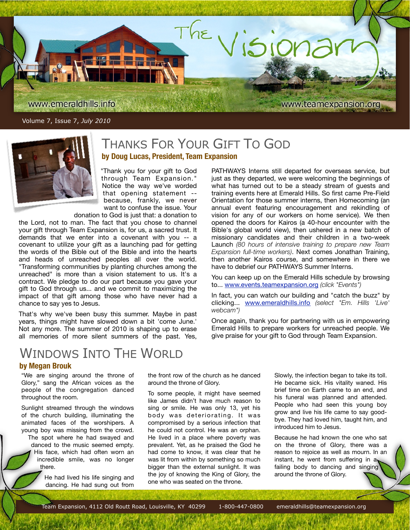

Volume 7, Issue 7, *July 2010*



## THANKS FOR YOUR GIFT TO GOD **by Doug Lucas, President, Team Expansion**

"Thank you for your gift to God through Team Expansion." Notice the way we've worded that opening statement - because, frankly, we never want to confuse the issue. Your donation to God is just that: a donation to

the Lord, not to man. The fact that you chose to channel your gift through Team Expansion is, for us, a sacred trust. It demands that we enter into a covenant with you -- a covenant to utilize your gift as a launching pad for getting the words of the Bible out of the Bible and into the hearts and heads of unreached peoples all over the world. "Transforming communities by planting churches among the unreached" is more than a vision statement to us. It's a contract. We pledge to do our part because you gave your gift to God through us... and we commit to maximizing the impact of that gift among those who have never had a chance to say yes to Jesus.

That's why we've been busy this summer. Maybe in past years, things might have slowed down a bit 'come June.' Not any more. The summer of 2010 is shaping up to erase all memories of more silent summers of the past. Yes, PATHWAYS Interns still departed for overseas service, but just as they departed, we were welcoming the beginnings of what has turned out to be a steady stream of guests and training events here at Emerald Hills. So first came Pre-Field Orientation for those summer interns, then Homecoming (an annual event featuring encouragement and rekindling of vision for any of our workers on home service). We then opened the doors for Kairos (a 40-hour encounter with the Bible's global world view), then ushered in a new batch of missionary candidates and their children in a two-week Launch *(80 hours of intensive training to prepare new Team Expansion full-time workers)*. Next comes Jonathan Training, then another Kairos course, and somewhere in there we have to debrief our PATHWAYS Summer Interns.

You can keep up on the Emerald Hills schedule by browsing to... [www.events.teamexpansion.org](http://www.events.teamexpansion.org) *(click "Events")*

In fact, you can watch our building and "catch the buzz" by clicking... [www.emeraldhills.info](http://www.emeraldhills.info) *(select "Em. Hills 'Live' webcam")*

Once again, thank you for partnering with us in empowering Emerald Hills to prepare workers for unreached people. We give praise for your gift to God through Team Expansion.

## WINDOWS INTO THE WORLD

#### **by Megan Brouk**

"We are singing around the throne of Glory," sang the African voices as the people of the congregation danced throughout the room.

Sunlight streamed through the windows of the church building, illuminating the animated faces of the worshipers. A young boy was missing from the crowd.

The spot where he had swayed and danced to the music seemed empty. His face, which had often worn an incredible smile, was no longer there.

> He had lived his life singing and dancing. He had sung out from

the front row of the church as he danced around the throne of Glory.

To some people, it might have seemed like James didn't have much reason to sing or smile. He was only 13, yet his body was deteriorating. It was compromised by a serious infection that he could not control. He was an orphan. He lived in a place where poverty was prevalent. Yet, as he praised the God he had come to know, it was clear that he was lit from within by something so much bigger than the external sunlight. It was the joy of knowing the King of Glory, the one who was seated on the throne.

Slowly, the infection began to take its toll. He became sick. His vitality waned. His brief time on Earth came to an end, and his funeral was planned and attended. People who had seen this young boy grow and live his life came to say goodbye. They had loved him, taught him, and introduced him to Jesus.

Because he had known the one who sat on the throne of Glory, there was a reason to rejoice as well as mourn. In an instant, he went from suffering in  $a_1$ failing body to dancing and singing around the throne of Glory.